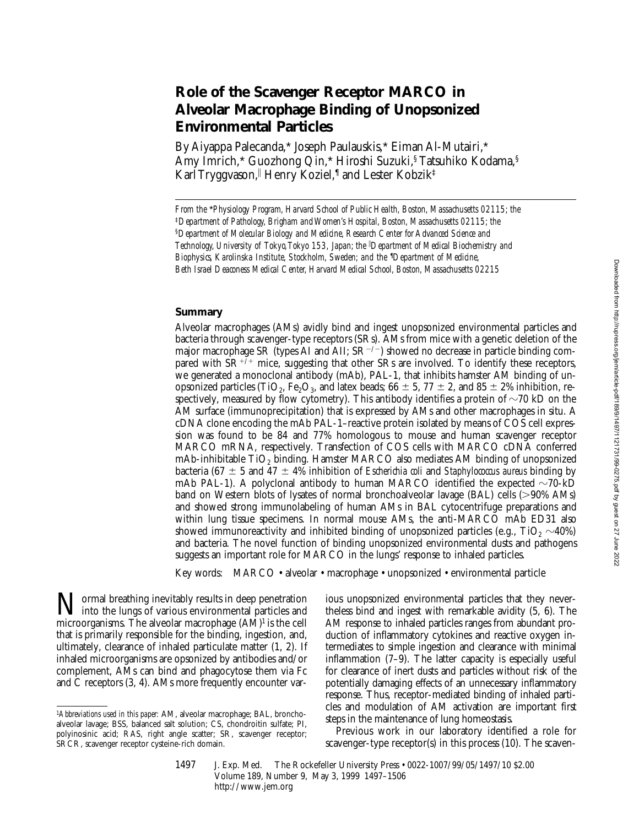# **Role of the Scavenger Receptor MARCO in Alveolar Macrophage Binding of Unopsonized Environmental Particles**

By Aiyappa Palecanda,\* Joseph Paulauskis,\* Eiman Al-Mutairi,\* Amy Imrich,\* Guozhong Qin,\* Hiroshi Suzuki,§ Tatsuhiko Kodama,§ Karl Tryggvason, Henry Koziel, I and Lester Kobzik‡

### **Summary**

Alveolar macrophages (AMs) avidly bind and ingest unopsonized environmental particles and bacteria through scavenger-type receptors (SRs). AMs from mice with a genetic deletion of the major macrophage SR (types AI and AII; SR<sup>-/-</sup>) showed no decrease in particle binding compared with  $SR^{+/+}$  mice, suggesting that other SRs are involved. To identify these receptors, we generated a monoclonal antibody (mAb), PAL-1, that inhibits hamster AM binding of unopsonized particles (TiO<sub>2</sub>, Fe<sub>2</sub>O<sub>3</sub>, and latex beads; 66  $\pm$  5, 77  $\pm$  2, and 85  $\pm$  2% inhibition, respectively, measured by flow cytometry). This antibody identifies a protein of  $\sim$ 70 kD on the AM surface (immunoprecipitation) that is expressed by AMs and other macrophages in situ. A cDNA clone encoding the mAb PAL-1–reactive protein isolated by means of COS cell expression was found to be 84 and 77% homologous to mouse and human scavenger receptor MARCO mRNA, respectively. Transfection of COS cells with MARCO cDNA conferred mAb-inhibitable TiO<sub>2</sub> binding. Hamster MARCO also mediates AM binding of unopsonized bacteria (67  $\pm$  5 and 47  $\pm$  4% inhibition of *Escherichia coli* and *Staphylococcus aureus* binding by mAb PAL-1). A polyclonal antibody to human MARCO identified the expected  $\sim$ 70-kD band on Western blots of lysates of normal bronchoalveolar lavage (BAL) cells  $(>90\%$  AMs) and showed strong immunolabeling of human AMs in BAL cytocentrifuge preparations and within lung tissue specimens. In normal mouse AMs, the anti-MARCO mAb ED31 also showed immunoreactivity and inhibited binding of unopsonized particles (e.g., TiO<sub>2</sub>  $\sim$ 40%) and bacteria. The novel function of binding unopsonized environmental dusts and pathogens suggests an important role for MARCO in the lungs' response to inhaled particles.

Key words: MARCO • alveolar • macrophage • unopsonized • environmental particle

**Normal breathing inevitably results in deep penetration**<br>into the lungs of various environmental particles and<br>misrogenerations. The cluster measurehers (AM) is the sell microorganisms. The alveolar macrophage (AM)1 is the cell that is primarily responsible for the binding, ingestion, and, ultimately, clearance of inhaled particulate matter (1, 2). If inhaled microorganisms are opsonized by antibodies and/or complement, AMs can bind and phagocytose them via Fc and C receptors (3, 4). AMs more frequently encounter various unopsonized environmental particles that they nevertheless bind and ingest with remarkable avidity (5, 6). The AM response to inhaled particles ranges from abundant production of inflammatory cytokines and reactive oxygen intermediates to simple ingestion and clearance with minimal inflammation (7–9). The latter capacity is especially useful for clearance of inert dusts and particles without risk of the potentially damaging effects of an unnecessary inflammatory response. Thus, receptor-mediated binding of inhaled particles and modulation of AM activation are important first steps in the maintenance of lung homeostasis.

Previous work in our laboratory identified a role for scavenger-type receptor(s) in this process (10). The scaven-

1497 J. Exp. Med. The Rockefeller University Press • 0022-1007/99/05/1497/10 \$2.00 Volume 189, Number 9, May 3, 1999 1497–1506 http://www.jem.org

*From the* \**Physiology Program, Harvard School of Public Health, Boston, Massachusetts 02115; the*  ‡*Department of Pathology, Brigham and Women's Hospital, Boston, Massachusetts 02115; the*  §*Department of Molecular Biology and Medicine, Research Center for Advanced Science and Technology, University of Tokyo, Tokyo 153, Japan; the* <sup>i</sup> *Department of Medical Biochemistry and*  Biophysics, Karolinska Institute, Stockholm, Sweden; and the <sup>*I*</sup>Department of Medicine, *Beth Israel Deaconess Medical Center, Harvard Medical School, Boston, Massachusetts 02215*

<sup>1</sup>*Abbreviations used in this paper:* AM, alveolar macrophage; BAL, bronchoalveolar lavage; BSS, balanced salt solution; CS, chondroitin sulfate; PI, polyinosinic acid; RAS, right angle scatter; SR, scavenger receptor; SRCR, scavenger receptor cysteine-rich domain.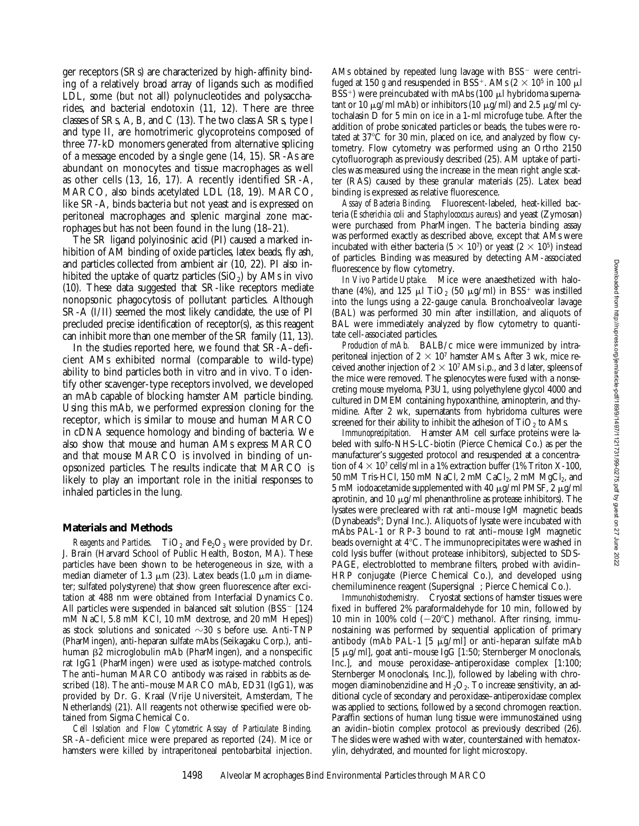ger receptors (SRs) are characterized by high-affinity binding of a relatively broad array of ligands such as modified LDL, some (but not all) polynucleotides and polysaccharides, and bacterial endotoxin (11, 12). There are three classes of SRs, A, B, and C (13). The two class A SRs, type I and type II, are homotrimeric glycoproteins composed of three 77-kD monomers generated from alternative splicing of a message encoded by a single gene (14, 15). SR-As are abundant on monocytes and tissue macrophages as well as other cells (13, 16, 17). A recently identified SR-A, MARCO, also binds acetylated LDL (18, 19). MARCO, like SR-A, binds bacteria but not yeast and is expressed on peritoneal macrophages and splenic marginal zone macrophages but has not been found in the lung (18–21).

The SR ligand polyinosinic acid (PI) caused a marked inhibition of AM binding of oxide particles, latex beads, fly ash, and particles collected from ambient air (10, 22). PI also inhibited the uptake of quartz particles  $(SiO<sub>2</sub>)$  by AMs in vivo (10). These data suggested that SR-like receptors mediate nonopsonic phagocytosis of pollutant particles. Although SR-A (I/II) seemed the most likely candidate, the use of PI precluded precise identification of receptor(s), as this reagent can inhibit more than one member of the SR family (11, 13).

In the studies reported here, we found that SR-A–deficient AMs exhibited normal (comparable to wild-type) ability to bind particles both in vitro and in vivo. To identify other scavenger-type receptors involved, we developed an mAb capable of blocking hamster AM particle binding. Using this mAb, we performed expression cloning for the receptor, which is similar to mouse and human MARCO in cDNA sequence homology and binding of bacteria. We also show that mouse and human AMs express MARCO and that mouse MARCO is involved in binding of unopsonized particles. The results indicate that MARCO is likely to play an important role in the initial responses to inhaled particles in the lung.

#### **Materials and Methods**

*Reagents and Particles.* TiO<sub>2</sub> and  $Fe<sub>2</sub>O<sub>3</sub>$  were provided by Dr. J. Brain (Harvard School of Public Health, Boston, MA). These particles have been shown to be heterogeneous in size, with a median diameter of 1.3  $\mu$ m (23). Latex beads (1.0  $\mu$ m in diameter; sulfated polystyrene) that show green fluorescence after excitation at 488 nm were obtained from Interfacial Dynamics Co. All particles were suspended in balanced salt solution  $(BSS - 124)$ mM NaCl, 5.8 mM KCl, 10 mM dextrose, and 20 mM Hepes]) as stock solutions and sonicated  $\sim$ 30 s before use. Anti-TNP (PharMingen), anti-heparan sulfate mAbs (Seikagaku Corp.), anti– human  $\beta$ 2 microglobulin mAb (PharMingen), and a nonspecific rat IgG1 (PharMingen) were used as isotype-matched controls. The anti–human MARCO antibody was raised in rabbits as described (18). The anti–mouse MARCO mAb, ED31 (IgG1), was provided by Dr. G. Kraal (Vrije Universiteit, Amsterdam, The Netherlands) (21). All reagents not otherwise specified were obtained from Sigma Chemical Co.

*Cell Isolation and Flow Cytometric Assay of Particulate Binding.* SR-A–deficient mice were prepared as reported (24). Mice or hamsters were killed by intraperitoneal pentobarbital injection.

AMs obtained by repeated lung lavage with  $BSS$ <sup>-</sup> were centrifuged at 150 g and resuspended in BSS<sup>+</sup>. AMs ( $2 \times 10^5$  in 100  $\mu$ l BSS<sup>+</sup>) were preincubated with mAbs (100  $\mu$ l hybridoma supernatant or 10  $\mu$ g/ml mAb) or inhibitors (10  $\mu$ g/ml) and 2.5  $\mu$ g/ml cytochalasin D for 5 min on ice in a 1-ml microfuge tube. After the addition of probe sonicated particles or beads, the tubes were rotated at  $37^{\circ}$ C for 30 min, placed on ice, and analyzed by flow cytometry. Flow cytometry was performed using an Ortho 2150 cytofluorograph as previously described (25). AM uptake of particles was measured using the increase in the mean right angle scatter (RAS) caused by these granular materials (25). Latex bead binding is expressed as relative fluorescence.

*Assay of Bacteria Binding.* Fluorescent-labeled, heat-killed bacteria (*Escherichia coli* and *Staphylococcus aureus*) and yeast (Zymosan) were purchased from PharMingen. The bacteria binding assay was performed exactly as described above, except that AMs were incubated with either bacteria (5  $\times$  10<sup>7</sup>) or yeast (2  $\times$  10<sup>5</sup>) instead of particles. Binding was measured by detecting AM-associated fluorescence by flow cytometry.

*In Vivo Particle Uptake.* Mice were anaesthetized with halothane (4%), and 125  $\mu$ l TiO<sub>2</sub> (50  $\mu$ g/ml) in BSS<sup>+</sup> was instilled into the lungs using a 22-gauge canula. Bronchoalveolar lavage (BAL) was performed 30 min after instillation, and aliquots of BAL were immediately analyzed by flow cytometry to quantitate cell-associated particles.

*Production of mAb.* BALB/c mice were immunized by intraperitoneal injection of  $2 \times 10^7$  hamster AMs. After 3 wk, mice received another injection of  $2 \times 10^7$  AMs i.p., and 3 d later, spleens of the mice were removed. The splenocytes were fused with a nonsecreting mouse myeloma, P3U1, using polyethylene glycol 4000 and cultured in DMEM containing hypoxanthine, aminopterin, and thymidine. After 2 wk, supernatants from hybridoma cultures were screened for their ability to inhibit the adhesion of  $TiO<sub>2</sub>$  to AMs.

*Immunoprecipitation.* Hamster AM cell surface proteins were labeled with sulfo-NHS-LC-biotin (Pierce Chemical Co.) as per the manufacturer's suggested protocol and resuspended at a concentration of  $4 \times 10^7$  cells/ml in a 1% extraction buffer (1% Triton X-100, 50 mM Tris-HCl, 150 mM NaCl, 2 mM CaCl<sub>2</sub>, 2 mM MgCl<sub>2</sub>, and 5 mM iodoacetamide supplemented with 40  $\mu$ g/ml PMSF, 2  $\mu$ g/ml aprotinin, and 10  $\mu$ g/ml phenanthroline as protease inhibitors). The lysates were precleared with rat anti–mouse IgM magnetic beads (Dynabeads®; Dynal Inc.). Aliquots of lysate were incubated with mAbs PAL-1 or RP-3 bound to rat anti–mouse IgM magnetic beads overnight at 4°C. The immunoprecipitates were washed in cold lysis buffer (without protease inhibitors), subjected to SDS-PAGE, electroblotted to membrane filters, probed with avidin– HRP conjugate (Pierce Chemical Co.), and developed using chemiluminence reagent (Supersignal<sup>®</sup>; Pierce Chemical Co.).

*Immunohistochemistry.* Cryostat sections of hamster tissues were fixed in buffered 2% paraformaldehyde for 10 min, followed by 10 min in 100% cold  $(-20^{\circ}C)$  methanol. After rinsing, immunostaining was performed by sequential application of primary antibody (mAb PAL-1 [5  $\mu$ g/ml] or anti-heparan sulfate mAb [5 mg/ml], goat anti–mouse IgG [1:50; Sternberger Monoclonals, Inc.], and mouse peroxidase–antiperoxidase complex [1:100; Sternberger Monoclonals, Inc.]), followed by labeling with chromogen diaminobenzidine and  $H_2O_2$ . To increase sensitivity, an additional cycle of secondary and peroxidase–antiperoxidase complex was applied to sections, followed by a second chromogen reaction. Paraffin sections of human lung tissue were immunostained using an avidin–biotin complex protocol as previously described (26). The slides were washed with water, counterstained with hematoxylin, dehydrated, and mounted for light microscopy.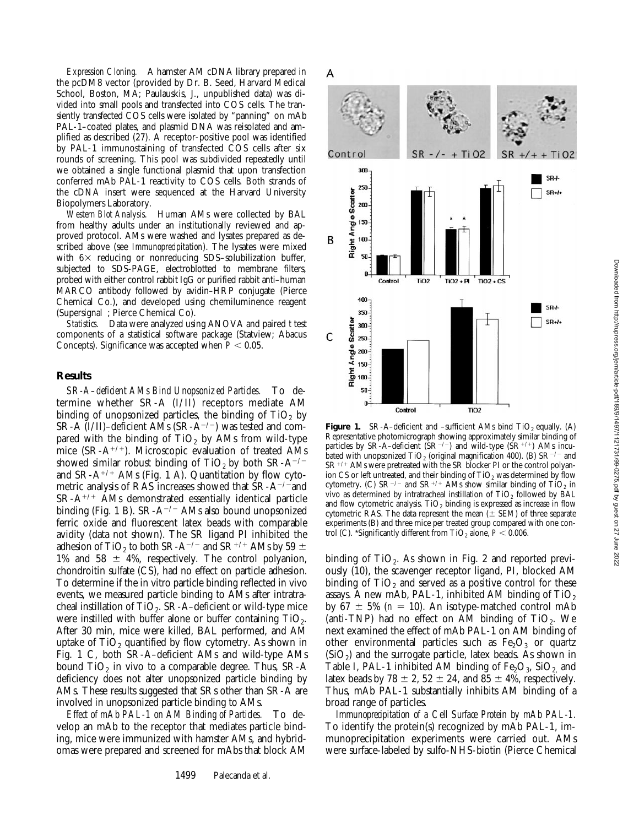*Expression Cloning.* A hamster AM cDNA library prepared in the pcDM8 vector (provided by Dr. B. Seed, Harvard Medical School, Boston, MA; Paulauskis, J., unpublished data) was divided into small pools and transfected into COS cells. The transiently transfected COS cells were isolated by "panning" on mAb PAL-1–coated plates, and plasmid DNA was reisolated and amplified as described (27). A receptor-positive pool was identified by PAL-1 immunostaining of transfected COS cells after six rounds of screening. This pool was subdivided repeatedly until we obtained a single functional plasmid that upon transfection conferred mAb PAL-1 reactivity to COS cells. Both strands of the cDNA insert were sequenced at the Harvard University Biopolymers Laboratory.

*Western Blot Analysis.* Human AMs were collected by BAL from healthy adults under an institutionally reviewed and approved protocol. AMs were washed and lysates prepared as described above (see *Immunoprecipitation*). The lysates were mixed with  $6\times$  reducing or nonreducing SDS-solubilization buffer, subjected to SDS-PAGE, electroblotted to membrane filters, probed with either control rabbit IgG or purified rabbit anti–human MARCO antibody followed by avidin–HRP conjugate (Pierce Chemical Co.), and developed using chemiluminence reagent (Supersignal<sup>®</sup>; Pierce Chemical Co).

*Statistics.* Data were analyzed using ANOVA and paired *t* test components of a statistical software package (Statview; Abacus Concepts). Significance was accepted when  $P < 0.05$ .

#### **Results**

*SR-A–deficient AMs Bind Unopsonized Particles.* To determine whether SR-A (I/II) receptors mediate AM binding of unopsonized particles, the binding of  $TiO<sub>2</sub>$  by SR-A (I/II)–deficient AMs (SR-A<sup>-/-</sup>) was tested and compared with the binding of  $TiO<sub>2</sub>$  by AMs from wild-type mice  $(SR-A^{+/+})$ . Microscopic evaluation of treated AMs showed similar robust binding of  $TiO<sub>2</sub>$  by both SR-A<sup>-/-</sup> and  $SR-A^{+/+}$  AMs (Fig. 1 A). Quantitation by flow cytometric analysis of RAS increases showed that  $SR-A^{-/-}$ and  $SR-A^{+/+}$  AMs demonstrated essentially identical particle binding (Fig. 1 B).  $SR-A^{-/-}$  AMs also bound unopsonized ferric oxide and fluorescent latex beads with comparable avidity (data not shown). The SR ligand PI inhibited the adhesion of TiO<sub>2</sub> to both SR-A<sup>-/-</sup> and SR<sup>+/+</sup> AMs by 59  $\pm$ 1% and 58  $\pm$  4%, respectively. The control polyanion, chondroitin sulfate (CS), had no effect on particle adhesion. To determine if the in vitro particle binding reflected in vivo events, we measured particle binding to AMs after intratracheal instillation of TiO<sub>2</sub>. SR-A–deficient or wild-type mice were instilled with buffer alone or buffer containing  $TiO<sub>2</sub>$ . After 30 min, mice were killed, BAL performed, and AM uptake of  $TiO<sub>2</sub>$  quantified by flow cytometry. As shown in Fig. 1 C, both SR-A–deficient AMs and wild-type AMs bound  $TiO<sub>2</sub>$  in vivo to a comparable degree. Thus, SR-A deficiency does not alter unopsonized particle binding by AMs. These results suggested that SRs other than SR-A are involved in unopsonized particle binding to AMs.

*Effect of mAb PAL-1 on AM Binding of Particles.* To develop an mAb to the receptor that mediates particle binding, mice were immunized with hamster AMs, and hybridomas were prepared and screened for mAbs that block AM



**Figure 1.** SR-A–deficient and –sufficient AMs bind TiO<sub>2</sub> equally. (A) Representative photomicrograph showing approximately similar binding of particles by SR-A–deficient  $(SR^{-/-})$  and wild-type  $(SR^{+/-})$  AMs incubated with unopsonized  $TiO<sub>2</sub>$  (original magnification 400). (B) SR<sup>-/-</sup> and  $SR^{+/+}$  AMs were pretreated with the SR blocker PI or the control polyanion CS or left untreated, and their binding of  $TiO<sub>2</sub>$  was determined by flow cytometry. (C)  $SR^{-/-}$  and  $SR^{+/+}$  AMs show similar binding of TiO<sub>2</sub> in vivo as determined by intratracheal instillation of  $TiO<sub>2</sub>$  followed by BAL and flow cytometric analysis.  $TiO<sub>2</sub>$  binding is expressed as increase in flow cytometric RAS. The data represent the mean  $(\pm$  SEM) of three separate experiments (B) and three mice per treated group compared with one control (C). \*Significantly different from  $TiO<sub>2</sub>$  alone,  $P < 0.006$ .

binding of  $TiO<sub>2</sub>$ . As shown in Fig. 2 and reported previously (10), the scavenger receptor ligand, PI, blocked AM binding of  $TiO<sub>2</sub>$  and served as a positive control for these assays. A new mAb, PAL-1, inhibited AM binding of  $TiO<sub>2</sub>$ by 67  $\pm$  5% ( $n = 10$ ). An isotype-matched control mAb (anti-TNP) had no effect on AM binding of TiO<sub>2</sub>. We next examined the effect of mAb PAL-1 on AM binding of other environmental particles such as  $Fe<sub>2</sub>O<sub>3</sub>$  or quartz  $(SiO<sub>2</sub>)$  and the surrogate particle, latex beads. As shown in Table I, PAL-1 inhibited AM binding of  $Fe<sub>2</sub>O<sub>3</sub>$ , SiO<sub>2</sub> and latex beads by 78  $\pm$  2, 52  $\pm$  24, and 85  $\pm$  4%, respectively. Thus, mAb PAL-1 substantially inhibits AM binding of a broad range of particles.

*Immunoprecipitation of a Cell Surface Protein by mAb PAL-1.* To identify the protein(s) recognized by mAb PAL-1, immunoprecipitation experiments were carried out. AMs were surface-labeled by sulfo-NHS-biotin (Pierce Chemical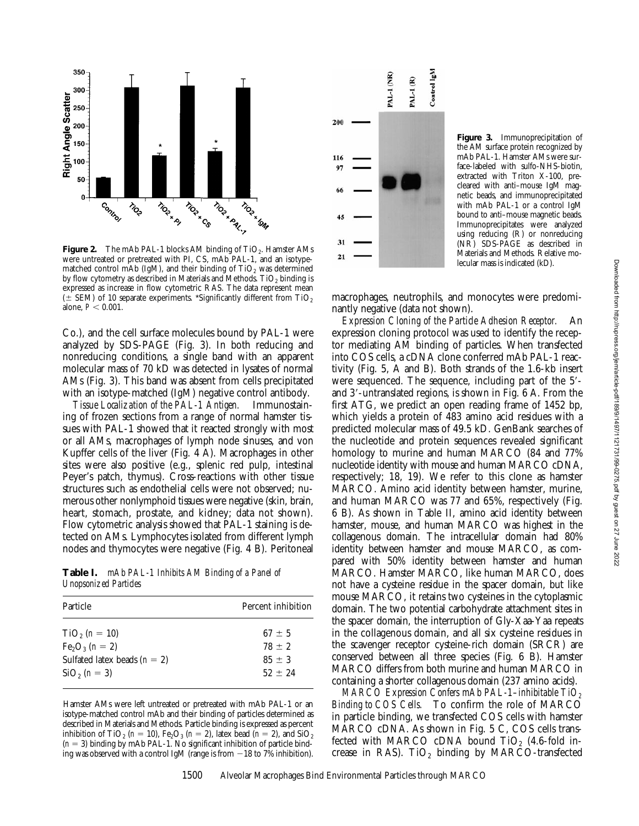

**Figure 2.** The mAb PAL-1 blocks AM binding of TiO<sub>2</sub>. Hamster AMs were untreated or pretreated with PI, CS, mAb PAL-1, and an isotypematched control mAb (IgM), and their binding of  $TiO<sub>2</sub>$  was determined by flow cytometry as described in Materials and Methods. TiO<sub>2</sub> binding is expressed as increase in flow cytometric RAS. The data represent mean ( $\pm$  SEM) of 10 separate experiments. \*Significantly different from TiO<sub>2</sub> alone,  $P < 0.001$ .

Co.), and the cell surface molecules bound by PAL-1 were analyzed by SDS-PAGE (Fig. 3). In both reducing and nonreducing conditions, a single band with an apparent molecular mass of 70 kD was detected in lysates of normal AMs (Fig. 3). This band was absent from cells precipitated with an isotype-matched (IgM) negative control antibody.

*Tissue Localization of the PAL-1 Antigen.* Immunostaining of frozen sections from a range of normal hamster tissues with PAL-1 showed that it reacted strongly with most or all AMs, macrophages of lymph node sinuses, and von Kupffer cells of the liver (Fig. 4 A). Macrophages in other sites were also positive (e.g., splenic red pulp, intestinal Peyer's patch, thymus). Cross-reactions with other tissue structures such as endothelial cells were not observed; numerous other nonlymphoid tissues were negative (skin, brain, heart, stomach, prostate, and kidney; data not shown). Flow cytometric analysis showed that PAL-1 staining is detected on AMs. Lymphocytes isolated from different lymph nodes and thymocytes were negative (Fig. 4 B). Peritoneal

**Table I.** *mAb PAL-1 Inhibits AM Binding of a Panel of Unopsonized Particles*

| Particle                       | Percent inhibition |
|--------------------------------|--------------------|
| $TiO2$ ( <i>n</i> = 10)        | $67 + 5$           |
| $Fe_2O_3 (n = 2)$              | $78 + 2$           |
| Sulfated latex beads $(n = 2)$ | $85 + 3$           |
| $SiO2$ ( <i>n</i> = 3)         | $52 + 24$          |
|                                |                    |

Hamster AMs were left untreated or pretreated with mAb PAL-1 or an isotype-matched control mAb and their binding of particles determined as described in Materials and Methods. Particle binding is expressed as percent inhibition of TiO<sub>2</sub> ( $n = 10$ ), Fe<sub>2</sub>O<sub>3</sub> ( $n = 2$ ), latex bead ( $n = 2$ ), and SiO<sub>2</sub>  $(n = 3)$  binding by mAb PAL-1. No significant inhibition of particle binding was observed with a control IgM (range is from  $-18$  to 7% inhibition).



**Figure 3.** Immunoprecipitation of the AM surface protein recognized by mAb PAL-1. Hamster AMs were surface-labeled with sulfo-NHS-biotin, extracted with Triton X-100, precleared with anti–mouse IgM magnetic beads, and immunoprecipitated with mAb PAL-1 or a control IgM bound to anti–mouse magnetic beads. Immunoprecipitates were analyzed using reducing (R) or nonreducing (NR) SDS-PAGE as described in Materials and Methods. Relative molecular mass is indicated (kD).

macrophages, neutrophils, and monocytes were predominantly negative (data not shown).

*Expression Cloning of the Particle Adhesion Receptor.* An expression cloning protocol was used to identify the receptor mediating AM binding of particles. When transfected into COS cells, a cDNA clone conferred mAb PAL-1 reactivity (Fig. 5, A and B). Both strands of the 1.6-kb insert were sequenced. The sequence, including part of the  $5'$ and  $3'$ -untranslated regions, is shown in Fig.  $6$  A. From the first ATG, we predict an open reading frame of 1452 bp, which yields a protein of 483 amino acid residues with a predicted molecular mass of 49.5 kD. GenBank searches of the nucleotide and protein sequences revealed significant homology to murine and human MARCO (84 and 77% nucleotide identity with mouse and human MARCO cDNA, respectively; 18, 19). We refer to this clone as hamster MARCO. Amino acid identity between hamster, murine, and human MARCO was 77 and 65%, respectively (Fig. 6 B). As shown in Table II, amino acid identity between hamster, mouse, and human MARCO was highest in the collagenous domain. The intracellular domain had 80% identity between hamster and mouse MARCO, as compared with 50% identity between hamster and human MARCO. Hamster MARCO, like human MARCO, does not have a cysteine residue in the spacer domain, but like mouse MARCO, it retains two cysteines in the cytoplasmic domain. The two potential carbohydrate attachment sites in the spacer domain, the interruption of Gly-Xaa-Yaa repeats in the collagenous domain, and all six cysteine residues in the scavenger receptor cysteine-rich domain (SRCR) are conserved between all three species (Fig. 6 B). Hamster MARCO differs from both murine and human MARCO in containing a shorter collagenous domain (237 amino acids).

*MARCO Expression Confers mAb PAL-1–inhibitable TiO<sub>2</sub> Binding to COS Cells.* To confirm the role of MARCO in particle binding, we transfected COS cells with hamster MARCO cDNA. As shown in Fig. 5 C, COS cells transfected with MARCO cDNA bound  $TiO<sub>2</sub>$  (4.6-fold increase in RAS). TiO<sub>2</sub> binding by MARCO-transfected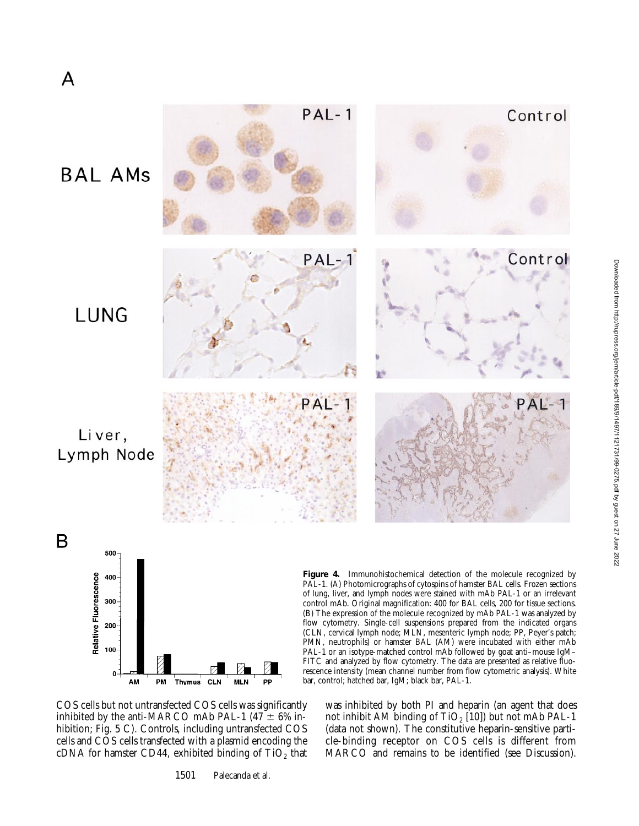

Downloaded from http://rupress.org/jem/article-pdf/189/9/1497/1121731/99-0275.pdf by guest on 27 June 2022 Downloaded from http://rupress.org/jem/article-pdf/189/9/1497/1121731/99-0275.pdf by guest on 27 June 2022

COS cells but not untransfected COS cells was significantly inhibited by the anti-MARCO mAb PAL-1 (47  $\pm$  6% inhibition; Fig. 5 C). Controls, including untransfected COS cells and COS cells transfected with a plasmid encoding the cDNA for hamster CD44, exhibited binding of  $TiO<sub>2</sub>$  that

1501 Palecanda et al.

was inhibited by both PI and heparin (an agent that does not inhibit AM binding of TiO<sub>2</sub> [10]) but not mAb PAL-1 (data not shown). The constitutive heparin-sensitive particle-binding receptor on COS cells is different from MARCO and remains to be identified (see Discussion).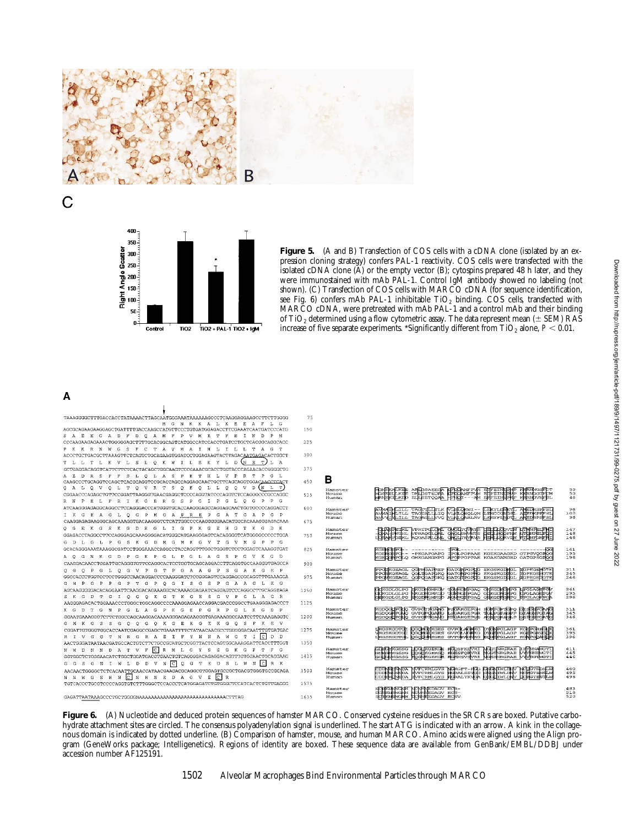



Figure 5. (A and B) Transfection of COS cells with a cDNA clone (isolated by an expression cloning strategy) confers PAL-1 reactivity. COS cells were transfected with the isolated cDNA clone  $\overline{A}$  or the empty vector  $\overline{B}$ ; cytospins prepared 48 h later, and they were immunostained with mAb PAL-1. Control IgM antibody showed no labeling (not shown). (C) Transfection of COS cells with MARCO cDNA (for sequence identification, see Fig. 6) confers mAb PAL-1 inhibitable  $TiO<sub>2</sub>$  binding. COS cells, transfected with MARCO cDNA, were pretreated with mAb PAL-1 and a control mAb and their binding of TiO<sub>2</sub> determined using a flow cytometric assay. The data represent mean ( $\pm$  SEM) RAS increase of five separate experiments. \*Significantly different from  $TiO<sub>2</sub>$  alone,  $P < 0.01$ .

## A

 $\mathsf C$ 

| TAAAGGGGCTTTGACCACCTATAAAACTTAGCAATGGGAAATAAAAAAGCCCTCAAGGAGGAAGCCTTCTTGGGG                                | 75   |                  |                                                                                                                                                                                              |            |
|------------------------------------------------------------------------------------------------------------|------|------------------|----------------------------------------------------------------------------------------------------------------------------------------------------------------------------------------------|------------|
| M G N K K A L K E E A F L<br>- G                                                                           |      |                  |                                                                                                                                                                                              |            |
| AGCGCAGAAGAAGGAGCTGATTTTGACCAAGCCATGTTCCCTGTGATGAGACCTTCGAAATCAATGATCCCATG                                 | 150  |                  |                                                                                                                                                                                              |            |
| S A E E G A D F D O A M F<br>P V M E<br>T<br>$\mathbb{F}$<br>E<br>N<br>M                                   |      |                  |                                                                                                                                                                                              |            |
|                                                                                                            | 225  |                  |                                                                                                                                                                                              |            |
| P K K R N W G S F C T A V M A I H L I L L T A G T                                                          |      |                  |                                                                                                                                                                                              |            |
| ACCCTGCTGACGCTTAAAGTTCTCAGTCTGCAGAAGTGGATCCTGGAGAAGTACTTAGACAATGAGACACTGGCT                                | 300  |                  |                                                                                                                                                                                              |            |
| D IN<br>В.<br>T.<br>E<br>K<br>Y L<br>T L L<br>TL.<br>K V<br>L S<br>$\circ$<br>K W I L<br>L.                |      |                  |                                                                                                                                                                                              |            |
| GCTGAGGACAGGTCATTCTTCTCACTACAGCTGGCAAGTCCCGAAACGCACCTGGTACCCAGAACACGGGGGCTG                                | 375  |                  |                                                                                                                                                                                              |            |
| L A S<br>E T H<br>V P R T<br>P G L<br>D<br>R<br>-S<br>F<br>SL Q<br>$\mathbb{P}$<br>L                       |      |                  |                                                                                                                                                                                              |            |
|                                                                                                            | 450  | в                |                                                                                                                                                                                              |            |
| VRTSQEQLLQQV<br>D<br>(N)<br>L<br>OALOVO<br>L TO                                                            |      | Hamster          |                                                                                                                                                                                              | 50         |
| CGGAACCCAGAGCTGTTCCGGATTAAGGGTGAACGAGGCTCCCCAGGTATCCCAGGTCTCCAGGGCCCCCCAGGC                                | 525  | Mouse            | Modernices ethesiood (Libera Modern)<br>Modernices derivations in Holdernices (Liberalistic Regionalistic)<br>Modernices vertices derivations in Eliterations (Liberalistic)                 | 50<br>46   |
| $P$ $P$ $G$<br>R N P E L F R I K G E R G S P G<br>$\mathbb{I}$<br>$\mathbb{P}$<br>$\mathbf{G}$<br>L Q<br>G |      | Human            |                                                                                                                                                                                              |            |
| ATCAAGGGAGAGGCAGGCCTCCAGGGACCCATGGGTGCACCAAGGGAGCCAGGAGCAACTGGTGCCCCAGGACCT                                | 600  | Hamster          |                                                                                                                                                                                              | 98         |
| I K G E A G L Q G P M G A P R E P G A T G A P G P                                                          |      | Mouse            | AVMATHUILL TAGHTUINK MATGKVI-- ESKYLIGENT, ANEDKSHESU<br>AVMAHELIUL TAGHALLLIQ VUHLGEOLOR ESKOGHNSH, AISBNEHEHT<br>AVMAHELILL TAGACLIVO MINLGARLRV ESKYFINDVIL ANEDSPOPSE                    | 100        |
| CAAGGAGAGAAGGCAGCAAAGGTGACAAGGGTCTCATTGGCCCCAAGGGGAACATGGCACAAAGGGAGACAAA                                  | 675  | Human            |                                                                                                                                                                                              | 96         |
| E.<br>K G S K G D K G L<br>I G P K G<br>E<br>H G T K G<br>D K<br>$O_G$                                     |      | Hamster          |                                                                                                                                                                                              | 147        |
| GGAGACCTAGGCCTTCCAGGGAGCAAAGGGGACATGGGCATGAAGGGAGTCACAGGGGTCATGGGGCCCCCTGGA                                | 750  | Mouse            | REPEREU VERIEGIANI GVOINCORIS CECILOGYVEN<br>VERVIEU VERAGGIONI GROINVEN CECILOGOFIN<br>VERBEU POGASELOVI GROINVENS EEFLAGEYVEN                                                              | 148        |
| G D L G L P G S K G D M G M K G V T G V M G<br>$P$ $P$ $G$                                                 |      | Human            |                                                                                                                                                                                              | 146        |
| GCACAGGGAAATAAAGGCGATCCTGGGAAACCAGGCCTACCAGGTTTGGCTGGGTCTCCTGGAGTCAAAGGTGAT                                | 825  | Hamster          |                                                                                                                                                                                              | 161        |
| P G V K G D<br>P G L A<br>G<br>- S                                                                         |      | Mouse            |                                                                                                                                                                                              | 195        |
| A O G N K G D P G K<br>P G<br>L.                                                                           |      | Human            | ССРРСІ О СНКСАМСМРС АРСФРСРРАЕ КСАКСАМСКО САТСРSСІОС                                                                                                                                         | 196        |
| CAAGGACAACCTGGATTGCAGGGTGTTCCAGGCACTCCTGGTGCAGCAGGACCTTCAGGTGCCAAGGGTGAGCCA                                | 900  |                  |                                                                                                                                                                                              |            |
| O P G L O G V P G T P G A A G P S G A K G E P<br>- G                                                       |      | Hamster<br>Mouse | PRODREENGE OGPMEARER GATOMPERIG EKISKIDMEE DEPKIBMETK<br>PROGMEBAGE OGEDBAFEKO OATOMPERIME BKOSKIDDEE EPPKIBMETK<br>PROMKIBAGE OGFOOAFEKO OATOMPERIG EKISKIDIGE DEPKIBHETK                   | 211<br>245 |
| GGCCACCCTGGTCCTGGGCCAACAGGACCCCAAGGGATCTCCGGGAGTCCAGGAGCCGCAGGTTTGAAAGGA                                   | 975  | Human            |                                                                                                                                                                                              | 246        |
| OGISCS<br>PGAAG<br><b>H</b><br>-G<br>P T<br>- 63<br>$\mathbf{P}$<br>L K G<br>G<br>G.<br>P                  |      |                  |                                                                                                                                                                                              |            |
| AGCAAGGGGGACACAGGAATTCAAGGACACAAAGGCACAAAAGGAGAATCAGGAGTCCCAGGCCTTGCAGGTAGA                                | 1050 | Hamster<br>Mouse | d keprome kestyawa dayastras diketikana herradikan<br>dikensional Methodisch dipertisan diketikan<br>dikensional diketikana dayastras diketikan                                              | 261<br>295 |
| S K G D T G I Q G Q K G T K G E S G V P G L<br>AGR                                                         |      | Human            |                                                                                                                                                                                              | 296        |
| AAGGGAGACACTGGAAACCCTGGGCTGGCAGGCCCCAAAGGAGAACCAGGACGCCCGGCCTGAAGGGAGACCCT                                 | 1125 |                  |                                                                                                                                                                                              |            |
| T G N P G L A G P K G E<br>K G<br>D<br>P G<br>R P G L K<br>G<br>D P                                        |      | Hamster<br>Mouse | le de proportemente Hoszackaleg Zakrásova o proportemente<br>Proportemente de Proporte de Proportemente de Proportemente<br>Proportemente de Proportemente de Proportemente de Proportemente | 311<br>345 |
| GGAATGAAAGGGTCTTCTGGCCAGCAAGGACAAAAGGGAGAGAAGGGTGAGAAAGGCCAATCCTTCAAAGAGGTC                                | 1200 | Human            |                                                                                                                                                                                              | 346        |
| G M K G S S G O O G<br>O K G E K G E K G O S F K E V                                                       |      |                  |                                                                                                                                                                                              |            |
| CGGATTGTGGGTGCCACCAATCGAGGCCGAGCTGAAATTTTCTATAACAACGCCTGGGGGACAATTTGTGATGAC                                | 1275 | Hamster<br>Mouse | озомощкова отворжание рифоватлав конвением<br>озомощкова отворилемы рифоватлав конвениемо<br>озобочнова отворжание возрастиав комефикры<br><b>MGSKGDTGL</b>                                  | 361<br>395 |
| TNRGRAEIFYNNAWGTIC<br>D<br>D<br>R I V G G                                                                  |      | Human            |                                                                                                                                                                                              | 396        |
| AACTGGGATAATAACGATGCCACTGTCTCTGCCGCATGCTCGGTTACTCCAGTGGCAAAGGATTCACCTTTGGT                                 | 1350 |                  |                                                                                                                                                                                              |            |
| CRML GYSSGKGFTFG<br>N W D N N D A T V F                                                                    |      | Hamster          | GDIKA IKOSSG<br><b>TERMANOGRII<br/>MANAMEMOTI<br/>MANSGRIMGTI</b>                                                                                                                            | 411<br>445 |
| GGTGGCTCTGGGAACATCTGGCTGGATGACGTGAACTGTCAGGGGACAGAGGACAGTTTGTGGAACTGCAGGAAG                                | 1425 | Mouse<br>Human   | эмковос доэфтовков израниятся мартиясяна<br>эмковос Доффтовкор исвенному и мартиясяна<br>эмковос промиссион мартикиму мартианаль                                                             | 446        |
| G G S G N I W L D D V N C Q G T E D S L W N C R K                                                          |      |                  |                                                                                                                                                                                              |            |
| AACAACTGGGGCTCTCACAATTGCAACCATAACGAAGACGCAGGCGTGGAGTGCCCCTGACGTGGGTGCCCAGA                                 | 1500 | Hamster          | СОЭМОГАНОХ ПОРСЕКЛОУЗ ВЕКСЕТ-1953 ВЕВЛЕКСТВО МОДЕЛЕРИЯ<br>СОЭДИРАТНО ПОРСЕКЛОУЗ НЕВЕЛЕЗИЯ ВЕВЛЕКСТВО МОНОГВИЯ<br>СОЭДИРАТНО ДОРС <u>ЕНСТВО</u> МОРАСТУКИЯ ВПОРЕКСТВИ ДЕНЕСТВОТАЛ             | 460<br>495 |
| N N W G S H N C N H N E D A G V E C R                                                                      |      | Mouse<br>Human   |                                                                                                                                                                                              | 496        |
| TGTCACCCTGCGTCCCCAGGTGTCTTTGGGCTCCACCCTCATGGAGATCTGTGGGCTCCATCACTCTGTTGAGGG                                | 1575 |                  |                                                                                                                                                                                              |            |
|                                                                                                            |      | Hamster          |                                                                                                                                                                                              | 483        |
|                                                                                                            | 1635 | Mouse<br>Human   | NCHRINWORH NCNHNEDAGV ECR-<br>DOSRUSWONH NCMHNEDAGV ECS-<br>SCHRINGHR ECRHEEDAGV ECSV                                                                                                        | 518<br>520 |

Figure 6. (A) Nucleotide and deduced protein sequences of hamster MARCO. Conserved cysteine residues in the SRCRs are boxed. Putative carbohydrate attachment sites are circled. The consensus polyadenylation signal is underlined. The start ATG is indicated with an arrow. A kink in the collagenous domain is indicated by dotted underline. (B) Comparison of hamster, mouse, and human MARCO. Amino acids were aligned using the Align program (GeneWorks package; Intelligenetics). Regions of identity are boxed. These sequence data are available from GenBank/EMBL/DDBJ under accession number AF125191.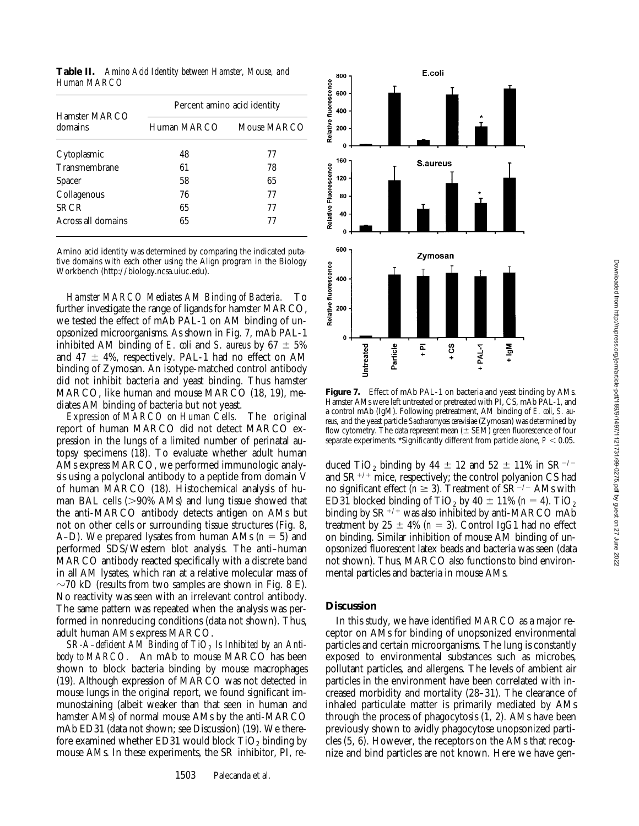**Table II.** *Amino Acid Identity between Hamster, Mouse, and Human MARCO*

|                          | Percent amino acid identity |             |  |  |
|--------------------------|-----------------------------|-------------|--|--|
| Hamster MARCO<br>domains | Human MARCO                 | Mouse MARCO |  |  |
| Cytoplasmic              | 48                          | 77          |  |  |
| Transmembrane            | 61                          | 78          |  |  |
| <b>Spacer</b>            | 58                          | 65          |  |  |
| Collagenous              | 76                          | 77          |  |  |
| <b>SRCR</b>              | 65                          | 77          |  |  |
| Across all domains       | 65                          | 77          |  |  |

Amino acid identity was determined by comparing the indicated putative domains with each other using the Align program in the Biology Workbench (http://biology.ncsa.uiuc.edu).

*Hamster MARCO Mediates AM Binding of Bacteria.* To further investigate the range of ligands for hamster MARCO, we tested the effect of mAb PAL-1 on AM binding of unopsonized microorganisms. As shown in Fig. 7, mAb PAL-1 inhibited AM binding of *E. coli* and *S. aureus* by  $67 \pm 5\%$ and 47  $\pm$  4%, respectively. PAL-1 had no effect on AM binding of Zymosan. An isotype-matched control antibody did not inhibit bacteria and yeast binding. Thus hamster MARCO, like human and mouse MARCO (18, 19), mediates AM binding of bacteria but not yeast.

*Expression of MARCO on Human Cells.* The original report of human MARCO did not detect MARCO expression in the lungs of a limited number of perinatal autopsy specimens (18). To evaluate whether adult human AMs express MARCO, we performed immunologic analysis using a polyclonal antibody to a peptide from domain V of human MARCO (18). Histochemical analysis of human BAL cells  $(>90\%$  AMs) and lung tissue showed that the anti-MARCO antibody detects antigen on AMs but not on other cells or surrounding tissue structures (Fig. 8, A–D). We prepared lysates from human AMs  $(n = 5)$  and performed SDS/Western blot analysis. The anti–human MARCO antibody reacted specifically with a discrete band in all AM lysates, which ran at a relative molecular mass of  $\sim$ 70 kD (results from two samples are shown in Fig. 8 E). No reactivity was seen with an irrelevant control antibody. The same pattern was repeated when the analysis was performed in nonreducing conditions (data not shown). Thus, adult human AMs express MARCO.

*SR-A–deficient AM Binding of TiO<sub>2</sub> Is Inhibited by an Antibody to MARCO.* An mAb to mouse MARCO has been shown to block bacteria binding by mouse macrophages (19). Although expression of MARCO was not detected in mouse lungs in the original report, we found significant immunostaining (albeit weaker than that seen in human and hamster AMs) of normal mouse AMs by the anti-MARCO mAb ED31 (data not shown; see Discussion) (19). We therefore examined whether ED31 would block  $TiO<sub>2</sub>$  binding by mouse AMs. In these experiments, the SR inhibitor, PI, re-



Figure 7. Effect of mAb PAL-1 on bacteria and yeast binding by AMs. Hamster AMs were left untreated or pretreated with PI, CS, mAb PAL-1, and a control mAb (IgM). Following pretreatment, AM binding of *E. coli*, *S. aureus,* and the yeast particle *Saccharomyces cerevisiae* (Zymosan) was determined by flow cytometry. The data represent mean  $(\pm$  SEM) green fluorescence of four separate experiments. \*Significantly different from particle alone,  $P < 0.05$ .

duced TiO<sub>2</sub> binding by 44  $\pm$  12 and 52  $\pm$  11% in SR<sup>-/-</sup> and  $SR^{+/+}$  mice, respectively; the control polyanion CS had no significant effect ( $n \geq 3$ ). Treatment of SR<sup>-/-</sup> AMs with ED31 blocked binding of TiO<sub>2</sub> by  $40 \pm 11\%$  ( $n = 4$ ). TiO<sub>2</sub> binding by  $SR^{+/+}$  was also inhibited by anti-MARCO mAb treatment by  $25 \pm 4\%$  ( $n = 3$ ). Control IgG1 had no effect on binding. Similar inhibition of mouse AM binding of unopsonized fluorescent latex beads and bacteria was seen (data not shown). Thus, MARCO also functions to bind environmental particles and bacteria in mouse AMs.

### **Discussion**

In this study, we have identified MARCO as a major receptor on AMs for binding of unopsonized environmental particles and certain microorganisms. The lung is constantly exposed to environmental substances such as microbes, pollutant particles, and allergens. The levels of ambient air particles in the environment have been correlated with increased morbidity and mortality (28–31). The clearance of inhaled particulate matter is primarily mediated by AMs through the process of phagocytosis (1, 2). AMs have been previously shown to avidly phagocytose unopsonized particles (5, 6). However, the receptors on the AMs that recognize and bind particles are not known. Here we have gen-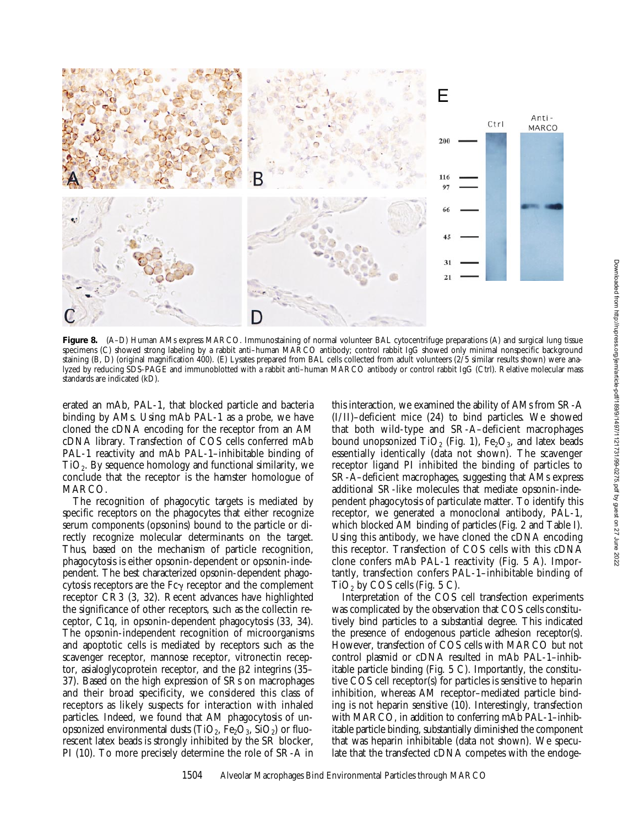

Figure 8. (A–D) Human AMs express MARCO. Immunostaining of normal volunteer BAL cytocentrifuge preparations (A) and surgical lung tissue specimens (C) showed strong labeling by a rabbit anti–human MARCO antibody; control rabbit IgG showed only minimal nonspecific background staining (B, D) (original magnification 400). (E) Lysates prepared from BAL cells collected from adult volunteers (2/5 similar results shown) were analyzed by reducing SDS-PAGE and immunoblotted with a rabbit anti–human MARCO antibody or control rabbit IgG (Ctrl). Relative molecular mass standards are indicated (kD).

erated an mAb, PAL-1, that blocked particle and bacteria binding by AMs. Using mAb PAL-1 as a probe, we have cloned the cDNA encoding for the receptor from an AM cDNA library. Transfection of COS cells conferred mAb PAL-1 reactivity and mAb PAL-1–inhibitable binding of  $TiO<sub>2</sub>$ . By sequence homology and functional similarity, we conclude that the receptor is the hamster homologue of MARCO.

The recognition of phagocytic targets is mediated by specific receptors on the phagocytes that either recognize serum components (opsonins) bound to the particle or directly recognize molecular determinants on the target. Thus, based on the mechanism of particle recognition, phagocytosis is either opsonin-dependent or opsonin-independent. The best characterized opsonin-dependent phagocytosis receptors are the  $Fc\gamma$  receptor and the complement receptor CR3 (3, 32). Recent advances have highlighted the significance of other receptors, such as the collectin receptor, C1q, in opsonin-dependent phagocytosis (33, 34). The opsonin-independent recognition of microorganisms and apoptotic cells is mediated by receptors such as the scavenger receptor, mannose receptor, vitronectin receptor, asialoglycoprotein receptor, and the  $\beta$ 2 integrins (35– 37). Based on the high expression of SRs on macrophages and their broad specificity, we considered this class of receptors as likely suspects for interaction with inhaled particles. Indeed, we found that AM phagocytosis of unopsonized environmental dusts (TiO<sub>2</sub>, Fe<sub>2</sub>O<sub>3</sub>, SiO<sub>2</sub>) or fluorescent latex beads is strongly inhibited by the SR blocker, PI (10). To more precisely determine the role of SR-A in

this interaction, we examined the ability of AMs from SR-A (I/II)–deficient mice (24) to bind particles. We showed that both wild-type and SR-A–deficient macrophages bound unopsonized  $TiO<sub>2</sub>$  (Fig. 1), Fe<sub>2</sub>O<sub>3</sub>, and latex beads essentially identically (data not shown). The scavenger receptor ligand PI inhibited the binding of particles to SR-A–deficient macrophages, suggesting that AMs express additional SR-like molecules that mediate opsonin-independent phagocytosis of particulate matter. To identify this receptor, we generated a monoclonal antibody, PAL-1, which blocked AM binding of particles (Fig. 2 and Table I). Using this antibody, we have cloned the cDNA encoding this receptor. Transfection of COS cells with this cDNA clone confers mAb PAL-1 reactivity (Fig. 5 A). Importantly, transfection confers PAL-1–inhibitable binding of  $TiO<sub>2</sub>$  by COS cells (Fig. 5 C).

Interpretation of the COS cell transfection experiments was complicated by the observation that COS cells constitutively bind particles to a substantial degree. This indicated the presence of endogenous particle adhesion receptor(s). However, transfection of COS cells with MARCO but not control plasmid or cDNA resulted in mAb PAL-1–inhibitable particle binding (Fig. 5 C). Importantly, the constitutive COS cell receptor(s) for particles is sensitive to heparin inhibition, whereas AM receptor–mediated particle binding is not heparin sensitive (10). Interestingly, transfection with MARCO, in addition to conferring mAb PAL-1–inhibitable particle binding, substantially diminished the component that was heparin inhibitable (data not shown). We speculate that the transfected cDNA competes with the endoge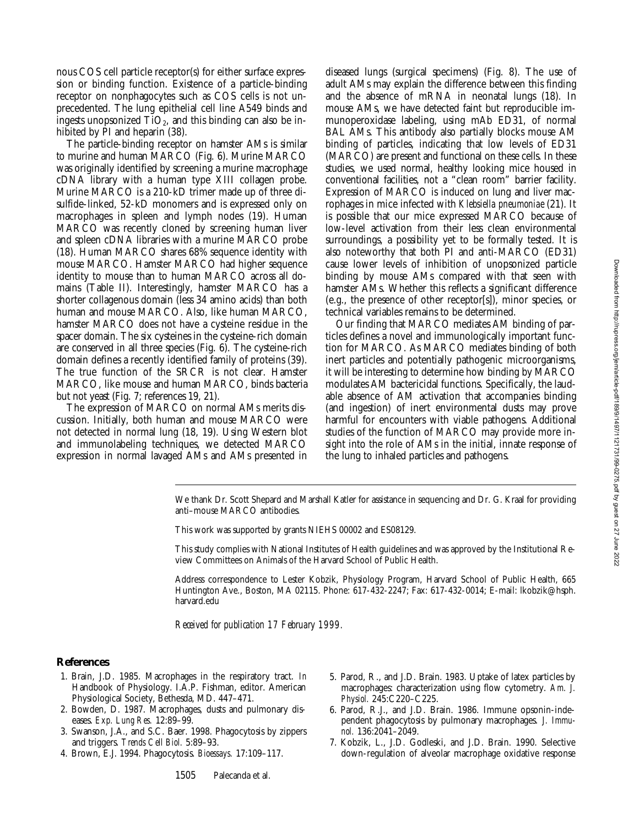nous COS cell particle receptor(s) for either surface expression or binding function. Existence of a particle-binding receptor on nonphagocytes such as COS cells is not unprecedented. The lung epithelial cell line A549 binds and ingests unopsonized  $TiO<sub>2</sub>$ , and this binding can also be inhibited by PI and heparin (38).

The particle-binding receptor on hamster AMs is similar to murine and human MARCO (Fig. 6). Murine MARCO was originally identified by screening a murine macrophage cDNA library with a human type XIII collagen probe. Murine MARCO is a 210-kD trimer made up of three disulfide-linked, 52-kD monomers and is expressed only on macrophages in spleen and lymph nodes (19). Human MARCO was recently cloned by screening human liver and spleen cDNA libraries with a murine MARCO probe (18). Human MARCO shares 68% sequence identity with mouse MARCO. Hamster MARCO had higher sequence identity to mouse than to human MARCO across all domains (Table II). Interestingly, hamster MARCO has a shorter collagenous domain (less 34 amino acids) than both human and mouse MARCO. Also, like human MARCO, hamster MARCO does not have a cysteine residue in the spacer domain. The six cysteines in the cysteine-rich domain are conserved in all three species (Fig. 6). The cysteine-rich domain defines a recently identified family of proteins (39). The true function of the SRCR is not clear. Hamster MARCO, like mouse and human MARCO, binds bacteria but not yeast (Fig. 7; references 19, 21).

The expression of MARCO on normal AMs merits discussion. Initially, both human and mouse MARCO were not detected in normal lung (18, 19). Using Western blot and immunolabeling techniques, we detected MARCO expression in normal lavaged AMs and AMs presented in

diseased lungs (surgical specimens) (Fig. 8). The use of adult AMs may explain the difference between this finding and the absence of mRNA in neonatal lungs (18). In mouse AMs, we have detected faint but reproducible immunoperoxidase labeling, using mAb ED31, of normal BAL AMs. This antibody also partially blocks mouse AM binding of particles, indicating that low levels of ED31 (MARCO) are present and functional on these cells. In these studies, we used normal, healthy looking mice housed in conventional facilities, not a "clean room" barrier facility. Expression of MARCO is induced on lung and liver macrophages in mice infected with *Klebsiella pneumoniae* (21). It is possible that our mice expressed MARCO because of low-level activation from their less clean environmental surroundings, a possibility yet to be formally tested. It is also noteworthy that both PI and anti-MARCO (ED31) cause lower levels of inhibition of unopsonized particle binding by mouse AMs compared with that seen with hamster AMs. Whether this reflects a significant difference (e.g., the presence of other receptor[s]), minor species, or technical variables remains to be determined.

Our finding that MARCO mediates AM binding of particles defines a novel and immunologically important function for MARCO. As MARCO mediates binding of both inert particles and potentially pathogenic microorganisms, it will be interesting to determine how binding by MARCO modulates AM bactericidal functions. Specifically, the laudable absence of AM activation that accompanies binding (and ingestion) of inert environmental dusts may prove harmful for encounters with viable pathogens. Additional studies of the function of MARCO may provide more insight into the role of AMs in the initial, innate response of the lung to inhaled particles and pathogens.

We thank Dr. Scott Shepard and Marshall Katler for assistance in sequencing and Dr. G. Kraal for providing anti–mouse MARCO antibodies.

This work was supported by grants NIEHS 00002 and ES08129.

This study complies with National Institutes of Health guidelines and was approved by the Institutional Review Committees on Animals of the Harvard School of Public Health.

Address correspondence to Lester Kobzik, Physiology Program, Harvard School of Public Health, 665 Huntington Ave., Boston, MA 02115. Phone: 617-432-2247; Fax: 617-432-0014; E-mail: lkobzik@hsph. harvard.edu

*Received for publication 17 February 1999.*

#### **References**

- 1. Brain, J.D. 1985. Macrophages in the respiratory tract. *In* Handbook of Physiology. I.A.P. Fishman, editor. American Physiological Society, Bethesda, MD. 447–471.
- 2. Bowden, D. 1987. Macrophages, dusts and pulmonary diseases. *Exp. Lung Res.* 12:89–99.
- 3. Swanson, J.A., and S.C. Baer. 1998. Phagocytosis by zippers and triggers. *Trends Cell Biol.* 5:89–93.
- 4. Brown, E.J. 1994. Phagocytosis. *Bioessays.* 17:109–117.
- 5. Parod, R., and J.D. Brain. 1983. Uptake of latex particles by macrophages: characterization using flow cytometry. *Am. J. Physiol.* 245:C220–C225.
- 6. Parod, R.J., and J.D. Brain. 1986. Immune opsonin-independent phagocytosis by pulmonary macrophages. *J. Immunol.* 136:2041–2049.
- 7. Kobzik, L., J.D. Godleski, and J.D. Brain. 1990. Selective down-regulation of alveolar macrophage oxidative response